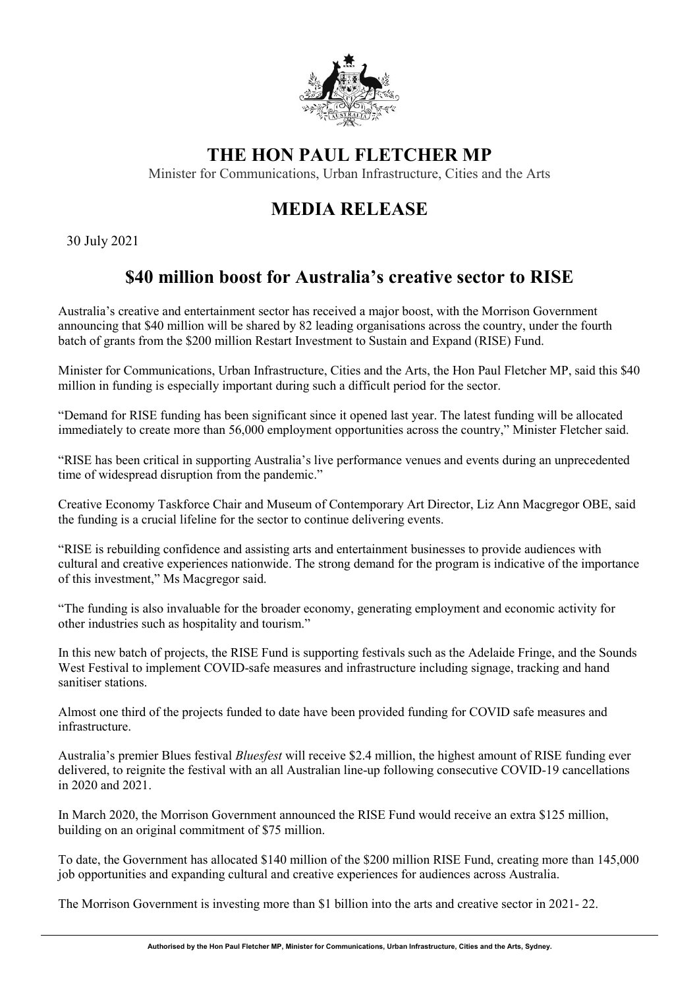

## **THE HON PAUL FLETCHER MP**

Minister for Communications, Urban Infrastructure, Cities and the Arts

# **MEDIA RELEASE**

30 July 2021

# **\$40 million boost for Australia's creative sector to RISE**

Australia's creative and entertainment sector has received a major boost, with the Morrison Government announcing that \$40 million will be shared by 82 leading organisations across the country, under the fourth batch of grants from the \$200 million Restart Investment to Sustain and Expand (RISE) Fund.

Minister for Communications, Urban Infrastructure, Cities and the Arts, the Hon Paul Fletcher MP, said this \$40 million in funding is especially important during such a difficult period for the sector.

"Demand for RISE funding has been significant since it opened last year. The latest funding will be allocated immediately to create more than 56,000 employment opportunities across the country," Minister Fletcher said.

"RISE has been critical in supporting Australia's live performance venues and events during an unprecedented time of widespread disruption from the pandemic."

Creative Economy Taskforce Chair and Museum of Contemporary Art Director, Liz Ann Macgregor OBE, said the funding is a crucial lifeline for the sector to continue delivering events.

"RISE is rebuilding confidence and assisting arts and entertainment businesses to provide audiences with cultural and creative experiences nationwide. The strong demand for the program is indicative of the importance of this investment," Ms Macgregor said.

"The funding is also invaluable for the broader economy, generating employment and economic activity for other industries such as hospitality and tourism."

In this new batch of projects, the RISE Fund is supporting festivals such as the Adelaide Fringe, and the Sounds West Festival to implement COVID-safe measures and infrastructure including signage, tracking and hand sanitiser stations.

Almost one third of the projects funded to date have been provided funding for COVID safe measures and infrastructure.

Australia's premier Blues festival *Bluesfest* will receive \$2.4 million, the highest amount of RISE funding ever delivered, to reignite the festival with an all Australian line-up following consecutive COVID-19 cancellations in 2020 and 2021.

In March 2020, the Morrison Government announced the RISE Fund would receive an extra \$125 million, building on an original commitment of \$75 million.

To date, the Government has allocated \$140 million of the \$200 million RISE Fund, creating more than 145,000 job opportunities and expanding cultural and creative experiences for audiences across Australia.

The Morrison Government is investing more than \$1 billion into the arts and creative sector in 2021- 22.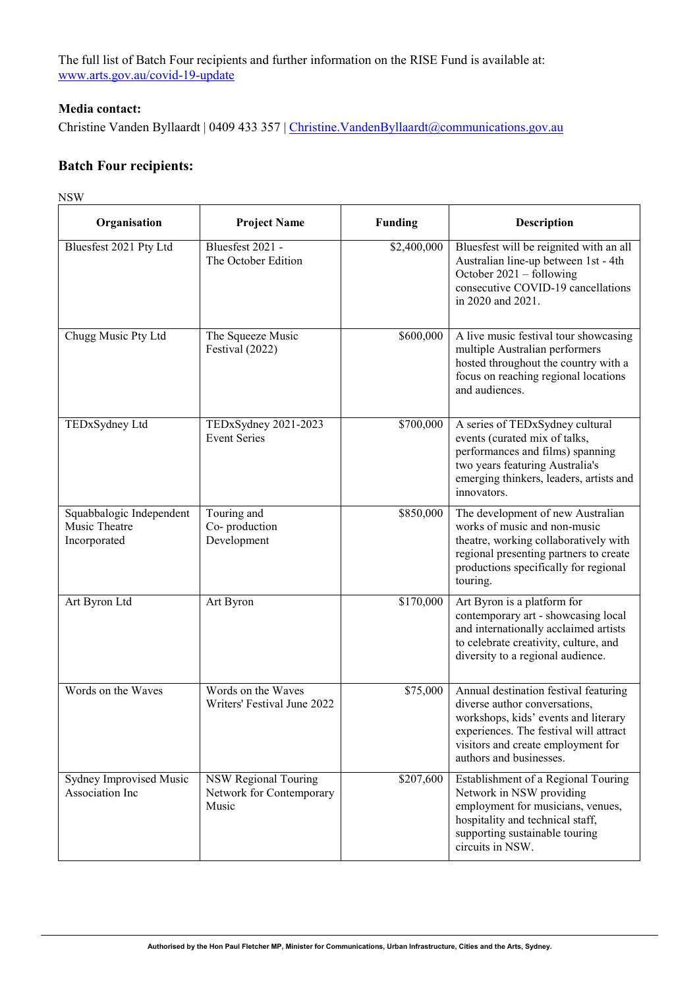The full list of Batch Four recipients and further information on the RISE Fund is available at: [www.arts.gov.au/covid-19-update](http://www.arts.gov.au/covid-19-update)

### **Media contact:**

Christine Vanden Byllaardt | 0409 433 357 | Christine. Vanden Byllaardt@communications.gov.au

### **Batch Four recipients:**

NSW

| Organisation                                              | <b>Project Name</b>                                       | <b>Funding</b> | <b>Description</b>                                                                                                                                                                                                        |
|-----------------------------------------------------------|-----------------------------------------------------------|----------------|---------------------------------------------------------------------------------------------------------------------------------------------------------------------------------------------------------------------------|
| Bluesfest 2021 Pty Ltd                                    | Bluesfest 2021 -<br>The October Edition                   | \$2,400,000    | Bluesfest will be reignited with an all<br>Australian line-up between 1st - 4th<br>October $2021 -$ following<br>consecutive COVID-19 cancellations<br>in 2020 and 2021.                                                  |
| Chugg Music Pty Ltd                                       | The Squeeze Music<br>Festival (2022)                      | \$600,000      | A live music festival tour showcasing<br>multiple Australian performers<br>hosted throughout the country with a<br>focus on reaching regional locations<br>and audiences.                                                 |
| TEDxSydney Ltd                                            | TEDxSydney 2021-2023<br><b>Event Series</b>               | \$700,000      | A series of TEDxSydney cultural<br>events (curated mix of talks,<br>performances and films) spanning<br>two years featuring Australia's<br>emerging thinkers, leaders, artists and<br>innovators.                         |
| Squabbalogic Independent<br>Music Theatre<br>Incorporated | Touring and<br>Co-production<br>Development               | \$850,000      | The development of new Australian<br>works of music and non-music<br>theatre, working collaboratively with<br>regional presenting partners to create<br>productions specifically for regional<br>touring.                 |
| Art Byron Ltd                                             | Art Byron                                                 | \$170,000      | Art Byron is a platform for<br>contemporary art - showcasing local<br>and internationally acclaimed artists<br>to celebrate creativity, culture, and<br>diversity to a regional audience.                                 |
| Words on the Waves                                        | Words on the Waves<br>Writers' Festival June 2022         | \$75,000       | Annual destination festival featuring<br>diverse author conversations,<br>workshops, kids' events and literary<br>experiences. The festival will attract<br>visitors and create employment for<br>authors and businesses. |
| Sydney Improvised Music<br>Association Inc                | NSW Regional Touring<br>Network for Contemporary<br>Music | \$207,600      | Establishment of a Regional Touring<br>Network in NSW providing<br>employment for musicians, venues,<br>hospitality and technical staff,<br>supporting sustainable touring<br>circuits in NSW.                            |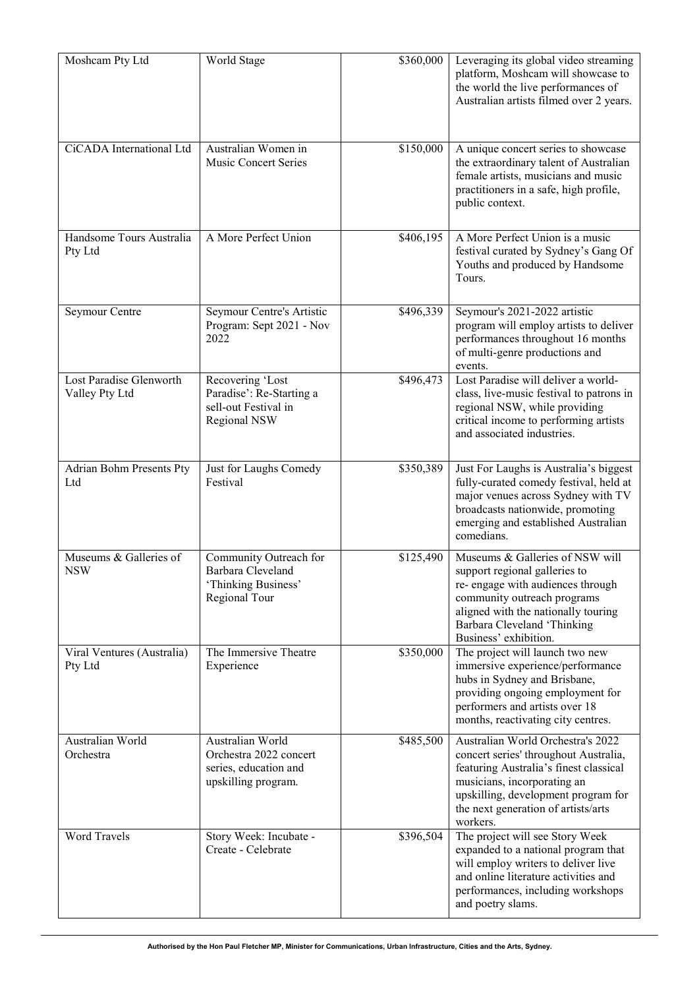| Moshcam Pty Ltd                           | World Stage                                                                                | \$360,000             | Leveraging its global video streaming<br>platform, Moshcam will showcase to<br>the world the live performances of<br>Australian artists filmed over 2 years.                                                                                  |
|-------------------------------------------|--------------------------------------------------------------------------------------------|-----------------------|-----------------------------------------------------------------------------------------------------------------------------------------------------------------------------------------------------------------------------------------------|
| CiCADA International Ltd                  | Australian Women in<br><b>Music Concert Series</b>                                         | \$150,000             | A unique concert series to showcase<br>the extraordinary talent of Australian<br>female artists, musicians and music<br>practitioners in a safe, high profile,<br>public context.                                                             |
| Handsome Tours Australia<br>Pty Ltd       | A More Perfect Union                                                                       | \$406,195             | A More Perfect Union is a music<br>festival curated by Sydney's Gang Of<br>Youths and produced by Handsome<br>Tours.                                                                                                                          |
| Seymour Centre                            | Seymour Centre's Artistic<br>Program: Sept 2021 - Nov<br>2022                              | \$496,339             | Seymour's 2021-2022 artistic<br>program will employ artists to deliver<br>performances throughout 16 months<br>of multi-genre productions and<br>events.                                                                                      |
| Lost Paradise Glenworth<br>Valley Pty Ltd | Recovering 'Lost<br>Paradise': Re-Starting a<br>sell-out Festival in<br>Regional NSW       | $\overline{$}496,473$ | Lost Paradise will deliver a world-<br>class, live-music festival to patrons in<br>regional NSW, while providing<br>critical income to performing artists<br>and associated industries.                                                       |
| Adrian Bohm Presents Pty<br>Ltd           | Just for Laughs Comedy<br>Festival                                                         | \$350,389             | Just For Laughs is Australia's biggest<br>fully-curated comedy festival, held at<br>major venues across Sydney with TV<br>broadcasts nationwide, promoting<br>emerging and established Australian<br>comedians.                               |
| Museums & Galleries of<br><b>NSW</b>      | Community Outreach for<br>Barbara Cleveland<br>'Thinking Business'<br>Regional Tour        | \$125,490             | Museums & Galleries of NSW will<br>support regional galleries to<br>re- engage with audiences through<br>community outreach programs<br>aligned with the nationally touring<br>Barbara Cleveland 'Thinking<br>Business' exhibition.           |
| Viral Ventures (Australia)<br>Pty Ltd     | The Immersive Theatre<br>Experience                                                        | \$350,000             | The project will launch two new<br>immersive experience/performance<br>hubs in Sydney and Brisbane,<br>providing ongoing employment for<br>performers and artists over 18<br>months, reactivating city centres.                               |
| Australian World<br>Orchestra             | Australian World<br>Orchestra 2022 concert<br>series, education and<br>upskilling program. | \$485,500             | Australian World Orchestra's 2022<br>concert series' throughout Australia,<br>featuring Australia's finest classical<br>musicians, incorporating an<br>upskilling, development program for<br>the next generation of artists/arts<br>workers. |
| <b>Word Travels</b>                       | Story Week: Incubate -<br>Create - Celebrate                                               | \$396,504             | The project will see Story Week<br>expanded to a national program that<br>will employ writers to deliver live<br>and online literature activities and<br>performances, including workshops<br>and poetry slams.                               |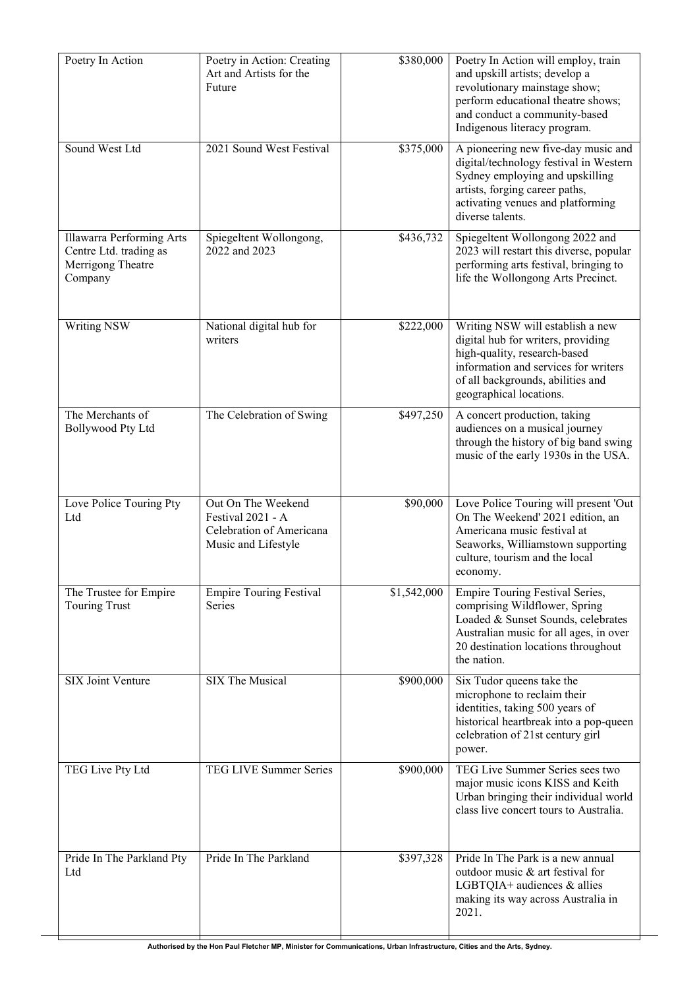| Poetry In Action                                                                    | Poetry in Action: Creating<br>Art and Artists for the<br>Future                            | \$380,000   | Poetry In Action will employ, train<br>and upskill artists; develop a<br>revolutionary mainstage show;<br>perform educational theatre shows;<br>and conduct a community-based<br>Indigenous literacy program.  |
|-------------------------------------------------------------------------------------|--------------------------------------------------------------------------------------------|-------------|----------------------------------------------------------------------------------------------------------------------------------------------------------------------------------------------------------------|
| Sound West Ltd                                                                      | 2021 Sound West Festival                                                                   | \$375,000   | A pioneering new five-day music and<br>digital/technology festival in Western<br>Sydney employing and upskilling<br>artists, forging career paths,<br>activating venues and platforming<br>diverse talents.    |
| Illawarra Performing Arts<br>Centre Ltd. trading as<br>Merrigong Theatre<br>Company | Spiegeltent Wollongong,<br>2022 and 2023                                                   | \$436,732   | Spiegeltent Wollongong 2022 and<br>2023 will restart this diverse, popular<br>performing arts festival, bringing to<br>life the Wollongong Arts Precinct.                                                      |
| Writing NSW                                                                         | National digital hub for<br>writers                                                        | \$222,000   | Writing NSW will establish a new<br>digital hub for writers, providing<br>high-quality, research-based<br>information and services for writers<br>of all backgrounds, abilities and<br>geographical locations. |
| The Merchants of<br><b>Bollywood Pty Ltd</b>                                        | The Celebration of Swing                                                                   | \$497,250   | A concert production, taking<br>audiences on a musical journey<br>through the history of big band swing<br>music of the early 1930s in the USA.                                                                |
| Love Police Touring Pty<br>Ltd                                                      | Out On The Weekend<br>Festival 2021 - A<br>Celebration of Americana<br>Music and Lifestyle | \$90,000    | Love Police Touring will present 'Out<br>On The Weekend' 2021 edition, an<br>Americana music festival at<br>Seaworks, Williamstown supporting<br>culture, tourism and the local<br>economy.                    |
| The Trustee for Empire<br><b>Touring Trust</b>                                      | <b>Empire Touring Festival</b><br><b>Series</b>                                            | \$1,542,000 | Empire Touring Festival Series,<br>comprising Wildflower, Spring<br>Loaded & Sunset Sounds, celebrates<br>Australian music for all ages, in over<br>20 destination locations throughout<br>the nation.         |
| SIX Joint Venture                                                                   | SIX The Musical                                                                            | \$900,000   | Six Tudor queens take the<br>microphone to reclaim their<br>identities, taking 500 years of<br>historical heartbreak into a pop-queen<br>celebration of 21st century girl<br>power.                            |
| TEG Live Pty Ltd                                                                    | TEG LIVE Summer Series                                                                     | \$900,000   | TEG Live Summer Series sees two<br>major music icons KISS and Keith<br>Urban bringing their individual world<br>class live concert tours to Australia.                                                         |
| Pride In The Parkland Pty<br>Ltd                                                    | Pride In The Parkland                                                                      | \$397,328   | Pride In The Park is a new annual<br>outdoor music & art festival for<br>LGBTQIA+ audiences & allies<br>making its way across Australia in<br>2021.                                                            |

╈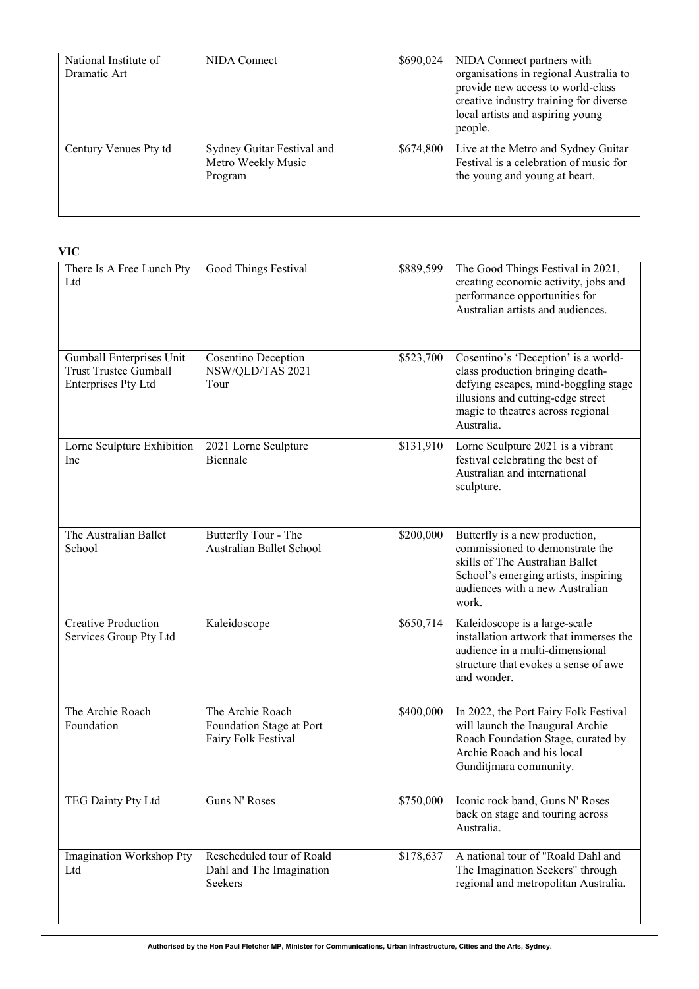| National Institute of<br>Dramatic Art | <b>NIDA</b> Connect                                         | \$690,024 | NIDA Connect partners with<br>organisations in regional Australia to<br>provide new access to world-class<br>creative industry training for diverse<br>local artists and aspiring young<br>people. |
|---------------------------------------|-------------------------------------------------------------|-----------|----------------------------------------------------------------------------------------------------------------------------------------------------------------------------------------------------|
| Century Venues Pty td                 | Sydney Guitar Festival and<br>Metro Weekly Music<br>Program | \$674,800 | Live at the Metro and Sydney Guitar<br>Festival is a celebration of music for<br>the young and young at heart.                                                                                     |

**VIC** 

| There Is A Free Lunch Pty<br>Ltd                                                | Good Things Festival                                                | \$889,599 | The Good Things Festival in 2021,<br>creating economic activity, jobs and<br>performance opportunities for<br>Australian artists and audiences.                                                         |
|---------------------------------------------------------------------------------|---------------------------------------------------------------------|-----------|---------------------------------------------------------------------------------------------------------------------------------------------------------------------------------------------------------|
| Gumball Enterprises Unit<br><b>Trust Trustee Gumball</b><br>Enterprises Pty Ltd | Cosentino Deception<br>NSW/QLD/TAS 2021<br>Tour                     | \$523,700 | Cosentino's 'Deception' is a world-<br>class production bringing death-<br>defying escapes, mind-boggling stage<br>illusions and cutting-edge street<br>magic to theatres across regional<br>Australia. |
| Lorne Sculpture Exhibition<br>Inc                                               | 2021 Lorne Sculpture<br>Biennale                                    | \$131,910 | Lorne Sculpture 2021 is a vibrant<br>festival celebrating the best of<br>Australian and international<br>sculpture.                                                                                     |
| The Australian Ballet<br>School                                                 | Butterfly Tour - The<br>Australian Ballet School                    | \$200,000 | Butterfly is a new production,<br>commissioned to demonstrate the<br>skills of The Australian Ballet<br>School's emerging artists, inspiring<br>audiences with a new Australian<br>work.                |
| <b>Creative Production</b><br>Services Group Pty Ltd                            | Kaleidoscope                                                        | \$650,714 | Kaleidoscope is a large-scale<br>installation artwork that immerses the<br>audience in a multi-dimensional<br>structure that evokes a sense of awe<br>and wonder.                                       |
| The Archie Roach<br>Foundation                                                  | The Archie Roach<br>Foundation Stage at Port<br>Fairy Folk Festival | \$400,000 | In 2022, the Port Fairy Folk Festival<br>will launch the Inaugural Archie<br>Roach Foundation Stage, curated by<br>Archie Roach and his local<br>Gunditjmara community.                                 |
| TEG Dainty Pty Ltd                                                              | Guns N' Roses                                                       | \$750,000 | Iconic rock band, Guns N' Roses<br>back on stage and touring across<br>Australia.                                                                                                                       |
| Imagination Workshop Pty<br>Ltd                                                 | Rescheduled tour of Roald<br>Dahl and The Imagination<br>Seekers    | \$178,637 | A national tour of "Roald Dahl and<br>The Imagination Seekers" through<br>regional and metropolitan Australia.                                                                                          |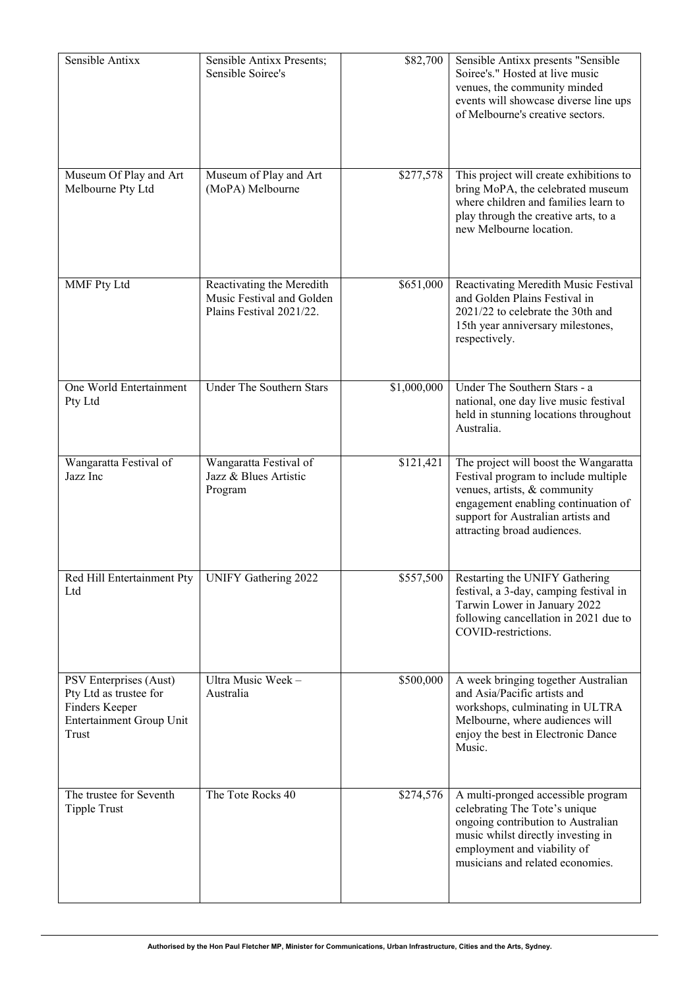| Sensible Antixx                                                                                         | Sensible Antixx Presents;<br>Sensible Soiree's                                     | \$82,700              | Sensible Antixx presents "Sensible<br>Soiree's." Hosted at live music<br>venues, the community minded<br>events will showcase diverse line ups<br>of Melbourne's creative sectors.                                        |
|---------------------------------------------------------------------------------------------------------|------------------------------------------------------------------------------------|-----------------------|---------------------------------------------------------------------------------------------------------------------------------------------------------------------------------------------------------------------------|
| Museum Of Play and Art<br>Melbourne Pty Ltd                                                             | Museum of Play and Art<br>(MoPA) Melbourne                                         | \$277,578             | This project will create exhibitions to<br>bring MoPA, the celebrated museum<br>where children and families learn to<br>play through the creative arts, to a<br>new Melbourne location.                                   |
| MMF Pty Ltd                                                                                             | Reactivating the Meredith<br>Music Festival and Golden<br>Plains Festival 2021/22. | $\overline{$}651,000$ | Reactivating Meredith Music Festival<br>and Golden Plains Festival in<br>2021/22 to celebrate the 30th and<br>15th year anniversary milestones,<br>respectively.                                                          |
| One World Entertainment<br>Pty Ltd                                                                      | Under The Southern Stars                                                           | \$1,000,000           | Under The Southern Stars - a<br>national, one day live music festival<br>held in stunning locations throughout<br>Australia.                                                                                              |
| Wangaratta Festival of<br>Jazz Inc                                                                      | Wangaratta Festival of<br>Jazz & Blues Artistic<br>Program                         | \$121,421             | The project will boost the Wangaratta<br>Festival program to include multiple<br>venues, artists, & community<br>engagement enabling continuation of<br>support for Australian artists and<br>attracting broad audiences. |
| Red Hill Entertainment Pty   UNIFY Gathering 2022<br>Ltd                                                |                                                                                    | \$557,500             | Restarting the UNIFY Gathering<br>festival, a 3-day, camping festival in<br>Tarwin Lower in January 2022<br>following cancellation in 2021 due to<br>COVID-restrictions.                                                  |
| PSV Enterprises (Aust)<br>Pty Ltd as trustee for<br>Finders Keeper<br>Entertainment Group Unit<br>Trust | Ultra Music Week -<br>Australia                                                    | \$500,000             | A week bringing together Australian<br>and Asia/Pacific artists and<br>workshops, culminating in ULTRA<br>Melbourne, where audiences will<br>enjoy the best in Electronic Dance<br>Music.                                 |
| The trustee for Seventh<br><b>Tipple Trust</b>                                                          | The Tote Rocks 40                                                                  | \$274,576             | A multi-pronged accessible program<br>celebrating The Tote's unique<br>ongoing contribution to Australian<br>music whilst directly investing in<br>employment and viability of<br>musicians and related economies.        |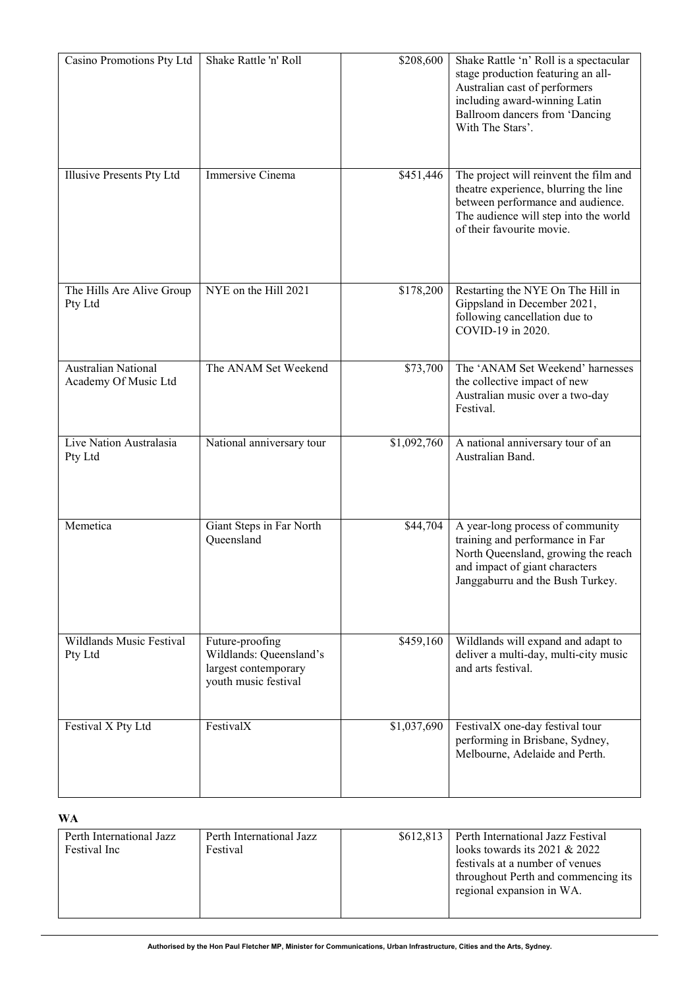| Casino Promotions Pty Ltd                          | Shake Rattle 'n' Roll                                                                      | \$208,600               | Shake Rattle 'n' Roll is a spectacular<br>stage production featuring an all-<br>Australian cast of performers<br>including award-winning Latin<br>Ballroom dancers from 'Dancing<br>With The Stars'. |
|----------------------------------------------------|--------------------------------------------------------------------------------------------|-------------------------|------------------------------------------------------------------------------------------------------------------------------------------------------------------------------------------------------|
| Illusive Presents Pty Ltd                          | Immersive Cinema                                                                           | \$451,446               | The project will reinvent the film and<br>theatre experience, blurring the line<br>between performance and audience.<br>The audience will step into the world<br>of their favourite movie.           |
| The Hills Are Alive Group<br>Pty Ltd               | NYE on the Hill 2021                                                                       | \$178,200               | Restarting the NYE On The Hill in<br>Gippsland in December 2021,<br>following cancellation due to<br>COVID-19 in 2020.                                                                               |
| <b>Australian National</b><br>Academy Of Music Ltd | The ANAM Set Weekend                                                                       | \$73,700                | The 'ANAM Set Weekend' harnesses<br>the collective impact of new<br>Australian music over a two-day<br>Festival.                                                                                     |
| Live Nation Australasia<br>Pty Ltd                 | National anniversary tour                                                                  | $\overline{$}1,092,760$ | A national anniversary tour of an<br>Australian Band.                                                                                                                                                |
| Memetica                                           | Giant Steps in Far North<br>Queensland                                                     | \$44,704                | A year-long process of community<br>training and performance in Far<br>North Queensland, growing the reach<br>and impact of giant characters<br>Janggaburru and the Bush Turkey.                     |
| Wildlands Music Festival<br>Pty Ltd                | Future-proofing<br>Wildlands: Queensland's<br>largest contemporary<br>youth music festival | \$459,160               | Wildlands will expand and adapt to<br>deliver a multi-day, multi-city music<br>and arts festival.                                                                                                    |
| Festival X Pty Ltd                                 | FestivalX                                                                                  | \$1,037,690             | FestivalX one-day festival tour<br>performing in Brisbane, Sydney,<br>Melbourne, Adelaide and Perth.                                                                                                 |

## **WA**

| Perth International Jazz<br>Festival Inc | Perth International Jazz<br>Festival |  | \$612,813 Perth International Jazz Festival<br>looks towards its $2021 & 2022$<br>festivals at a number of venues<br>throughout Perth and commencing its<br>regional expansion in WA. |
|------------------------------------------|--------------------------------------|--|---------------------------------------------------------------------------------------------------------------------------------------------------------------------------------------|
|------------------------------------------|--------------------------------------|--|---------------------------------------------------------------------------------------------------------------------------------------------------------------------------------------|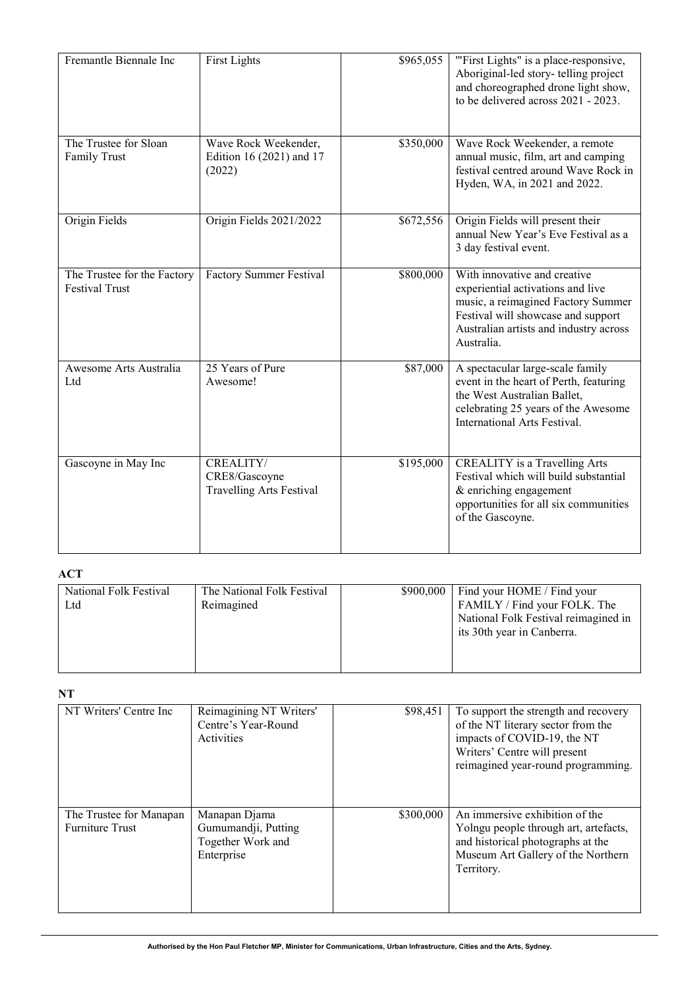| Fremantle Biennale Inc                               | <b>First Lights</b>                                           | \$965,055 | "First Lights" is a place-responsive,<br>Aboriginal-led story- telling project<br>and choreographed drone light show,<br>to be delivered across 2021 - 2023.                                          |
|------------------------------------------------------|---------------------------------------------------------------|-----------|-------------------------------------------------------------------------------------------------------------------------------------------------------------------------------------------------------|
| The Trustee for Sloan<br>Family Trust                | Wave Rock Weekender,<br>Edition 16 (2021) and 17<br>(2022)    | \$350,000 | Wave Rock Weekender, a remote<br>annual music, film, art and camping<br>festival centred around Wave Rock in<br>Hyden, WA, in 2021 and 2022.                                                          |
| Origin Fields                                        | Origin Fields 2021/2022                                       | \$672,556 | Origin Fields will present their<br>annual New Year's Eve Festival as a<br>3 day festival event.                                                                                                      |
| The Trustee for the Factory<br><b>Festival Trust</b> | Factory Summer Festival                                       | \$800,000 | With innovative and creative<br>experiential activations and live<br>music, a reimagined Factory Summer<br>Festival will showcase and support<br>Australian artists and industry across<br>Australia. |
| Awesome Arts Australia<br>Ltd                        | 25 Years of Pure<br>Awesome!                                  | \$87,000  | A spectacular large-scale family<br>event in the heart of Perth, featuring<br>the West Australian Ballet,<br>celebrating 25 years of the Awesome<br>International Arts Festival.                      |
| Gascoyne in May Inc                                  | CREALITY/<br>CRE8/Gascoyne<br><b>Travelling Arts Festival</b> | \$195,000 | <b>CREALITY</b> is a Travelling Arts<br>Festival which will build substantial<br>& enriching engagement<br>opportunities for all six communities<br>of the Gascoyne.                                  |

## **ACT**

| National Folk Festival<br>Ltd | The National Folk Festival<br>Reimagined | \$900,000 | Find your HOME / Find your<br>FAMILY / Find your FOLK. The<br>National Folk Festival reimagined in<br>its 30th year in Canberra. |
|-------------------------------|------------------------------------------|-----------|----------------------------------------------------------------------------------------------------------------------------------|
|                               |                                          |           |                                                                                                                                  |

**NT**

| NT Writers' Centre Inc                            | Reimagining NT Writers'<br>Centre's Year-Round<br>Activities            | \$98,451  | To support the strength and recovery<br>of the NT literary sector from the<br>impacts of COVID-19, the NT<br>Writers' Centre will present<br>reimagined year-round programming. |
|---------------------------------------------------|-------------------------------------------------------------------------|-----------|---------------------------------------------------------------------------------------------------------------------------------------------------------------------------------|
| The Trustee for Manapan<br><b>Furniture Trust</b> | Manapan Djama<br>Gumumandji, Putting<br>Together Work and<br>Enterprise | \$300,000 | An immersive exhibition of the<br>Yolngu people through art, artefacts,<br>and historical photographs at the<br>Museum Art Gallery of the Northern<br>Territory.                |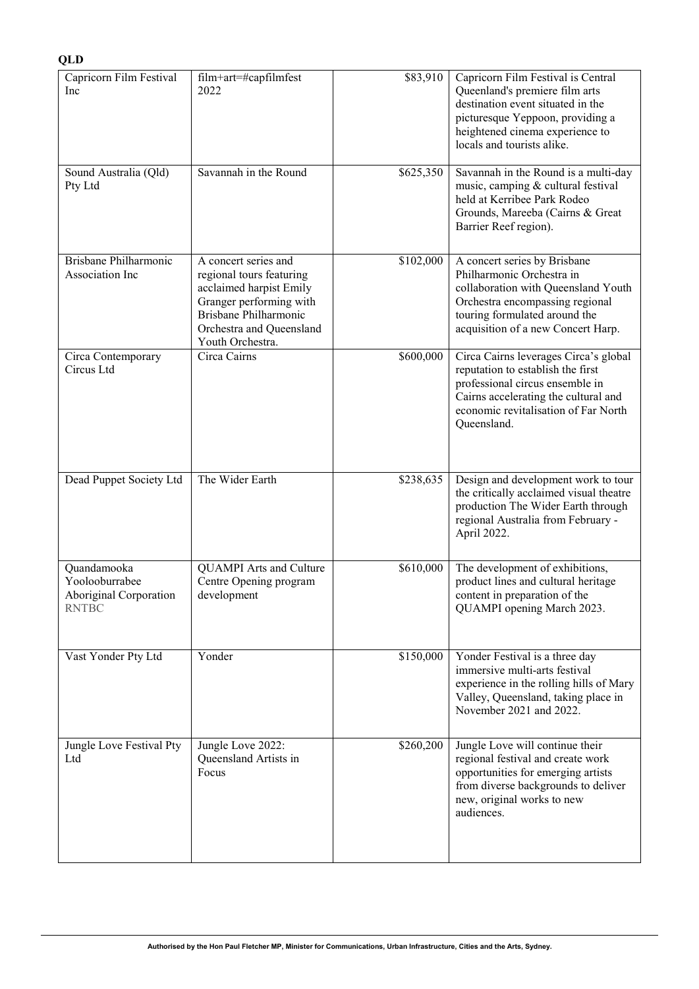### **QLD**

| Capricorn Film Festival<br>Inc                                          | film+art=#capfilmfest<br>2022                                                                                                                                                   | \$83,910  | Capricorn Film Festival is Central<br>Queenland's premiere film arts<br>destination event situated in the<br>picturesque Yeppoon, providing a<br>heightened cinema experience to<br>locals and tourists alike. |
|-------------------------------------------------------------------------|---------------------------------------------------------------------------------------------------------------------------------------------------------------------------------|-----------|----------------------------------------------------------------------------------------------------------------------------------------------------------------------------------------------------------------|
| Sound Australia (Qld)<br>Pty Ltd                                        | Savannah in the Round                                                                                                                                                           | \$625,350 | Savannah in the Round is a multi-day<br>music, camping & cultural festival<br>held at Kerribee Park Rodeo<br>Grounds, Mareeba (Cairns & Great<br>Barrier Reef region).                                         |
| Brisbane Philharmonic<br>Association Inc                                | A concert series and<br>regional tours featuring<br>acclaimed harpist Emily<br>Granger performing with<br>Brisbane Philharmonic<br>Orchestra and Queensland<br>Youth Orchestra. | \$102,000 | A concert series by Brisbane<br>Philharmonic Orchestra in<br>collaboration with Queensland Youth<br>Orchestra encompassing regional<br>touring formulated around the<br>acquisition of a new Concert Harp.     |
| Circa Contemporary<br>Circus Ltd                                        | Circa Cairns                                                                                                                                                                    | \$600,000 | Circa Cairns leverages Circa's global<br>reputation to establish the first<br>professional circus ensemble in<br>Cairns accelerating the cultural and<br>economic revitalisation of Far North<br>Queensland.   |
| Dead Puppet Society Ltd                                                 | The Wider Earth                                                                                                                                                                 | \$238,635 | Design and development work to tour<br>the critically acclaimed visual theatre<br>production The Wider Earth through<br>regional Australia from February -<br>April 2022.                                      |
| Quandamooka<br>Yoolooburrabee<br>Aboriginal Corporation<br><b>RNTBC</b> | <b>QUAMPI</b> Arts and Culture<br>Centre Opening program<br>development                                                                                                         | \$610,000 | The development of exhibitions,<br>product lines and cultural heritage<br>content in preparation of the<br>QUAMPI opening March 2023.                                                                          |
| Vast Yonder Pty Ltd                                                     | Yonder                                                                                                                                                                          | \$150,000 | Yonder Festival is a three day<br>immersive multi-arts festival<br>experience in the rolling hills of Mary<br>Valley, Queensland, taking place in<br>November 2021 and 2022.                                   |
| Jungle Love Festival Pty<br>Ltd                                         | Jungle Love 2022:<br>Queensland Artists in<br>Focus                                                                                                                             | \$260,200 | Jungle Love will continue their<br>regional festival and create work<br>opportunities for emerging artists<br>from diverse backgrounds to deliver<br>new, original works to new<br>audiences.                  |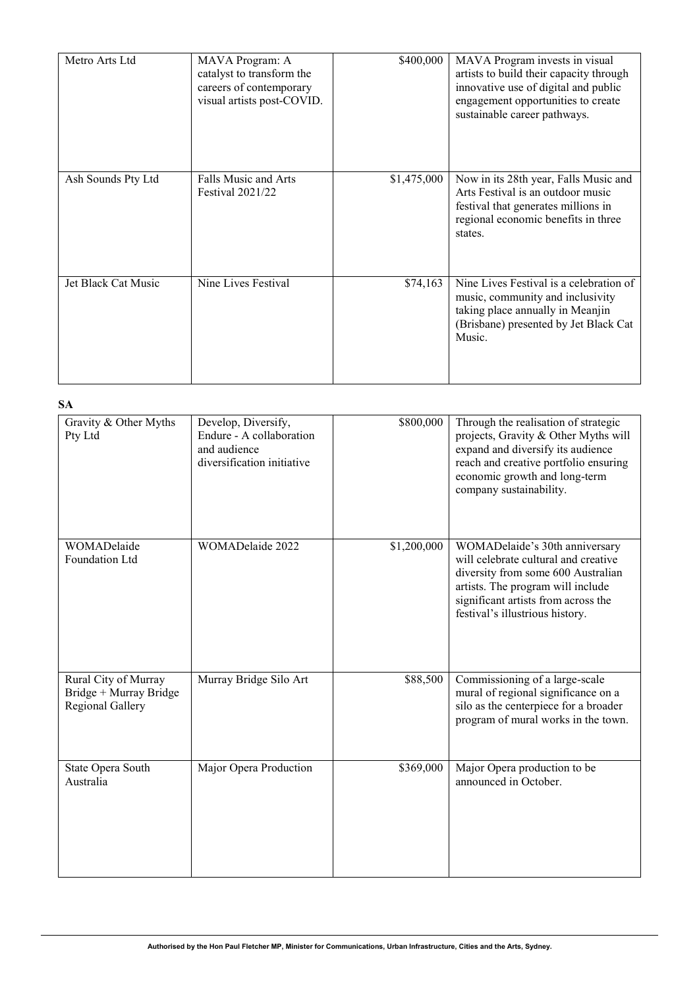| Metro Arts Ltd      | MAVA Program: A<br>catalyst to transform the<br>careers of contemporary<br>visual artists post-COVID. | \$400,000   | MAVA Program invests in visual<br>artists to build their capacity through<br>innovative use of digital and public<br>engagement opportunities to create<br>sustainable career pathways. |
|---------------------|-------------------------------------------------------------------------------------------------------|-------------|-----------------------------------------------------------------------------------------------------------------------------------------------------------------------------------------|
| Ash Sounds Pty Ltd  | Falls Music and Arts<br><b>Festival 2021/22</b>                                                       | \$1,475,000 | Now in its 28th year, Falls Music and<br>Arts Festival is an outdoor music<br>festival that generates millions in<br>regional economic benefits in three<br>states.                     |
| Jet Black Cat Music | Nine Lives Festival                                                                                   | \$74,163    | Nine Lives Festival is a celebration of<br>music, community and inclusivity<br>taking place annually in Meanjin<br>(Brisbane) presented by Jet Black Cat<br>Music.                      |

### **SA**

| Gravity & Other Myths<br>Pty Ltd                                   | Develop, Diversify,<br>Endure - A collaboration<br>and audience<br>diversification initiative | \$800,000   | Through the realisation of strategic<br>projects, Gravity & Other Myths will<br>expand and diversify its audience<br>reach and creative portfolio ensuring<br>economic growth and long-term<br>company sustainability.      |
|--------------------------------------------------------------------|-----------------------------------------------------------------------------------------------|-------------|-----------------------------------------------------------------------------------------------------------------------------------------------------------------------------------------------------------------------------|
| WOMADelaide<br>Foundation Ltd                                      | WOMADelaide 2022                                                                              | \$1,200,000 | WOMADelaide's 30th anniversary<br>will celebrate cultural and creative<br>diversity from some 600 Australian<br>artists. The program will include<br>significant artists from across the<br>festival's illustrious history. |
| Rural City of Murray<br>Bridge + Murray Bridge<br>Regional Gallery | Murray Bridge Silo Art                                                                        | \$88,500    | Commissioning of a large-scale<br>mural of regional significance on a<br>silo as the centerpiece for a broader<br>program of mural works in the town.                                                                       |
| State Opera South<br>Australia                                     | Major Opera Production                                                                        | \$369,000   | Major Opera production to be<br>announced in October.                                                                                                                                                                       |